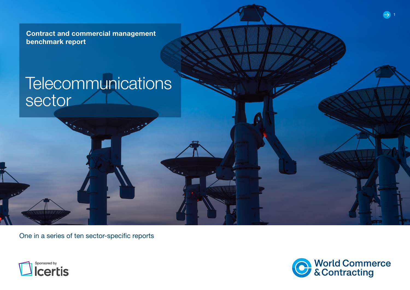Contract and commercial management benchmark report

# **Telecommunications** sector

One in a series of ten sector-specific reports





 $\bullet$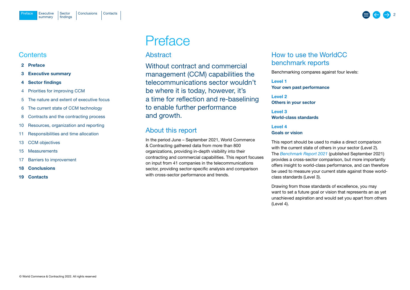### <span id="page-1-0"></span>**Contents**

- 2 Preface
- 3 [Executive summary](#page-2-0)
- 4 [Sector findings](#page-3-0)
- 4 [Priorities for improving CCM](#page-3-0)
- 5 [The nature and extent of executive focus](#page-4-0)
- 6 [The current state of CCM technology](#page-5-0)
- 8 [Contracts and the contracting process](#page-7-0)
- 10 [Resources, organization and reporting](#page-9-0)
- 11 [Responsibilities and time allocation](#page-10-0)
- 13 [CCM objectives](#page-12-0)
- 15 [Measurements](#page-14-0)
- 17 [Barriers to improvement](#page-16-0)
- 18 [Conclusions](#page-17-0)
- 19 [Contacts](#page-18-0)

## Preface

## Abstract

Without contract and commercial management (CCM) capabilities the telecommunications sector wouldn't be where it is today, however, it's a time for reflection and re-baselining to enable further performance and growth.

## About this report

In the period June – September 2021, World Commerce & Contracting gathered data from more than 800 organizations, providing in-depth visibility into their contracting and commercial capabilities. This report focuses on input from 41 companies in the telecommunications sector, providing sector-specific analysis and comparison with cross-sector performance and trends.

## How to use the WorldCC benchmark reports

Benchmarking compares against four levels:

Level 1 Your own past performance

Level 2 Others in your sector

Level 3 World-class standards

### Level 4 Goals or vision

This report should be used to make a direct comparison with the current state of others in your sector (Level 2). The *[Benchmark Report](https://www.worldcc.com/Portals/IACCM/Resources/WorldCC-Benchmark-report-2021.pdf?ver=NPQMEljK4Q-meXZLABtd2w%3d%3d) 2021* (published September 2021) provides a cross-sector comparison, but more importantly offers insight to world-class performance, and can therefore be used to measure your current state against those worldclass standards (Level 3).

Drawing from those standards of excellence, you may want to set a future goal or vision that represents an as yet unachieved aspiration and would set you apart from others (Level 4).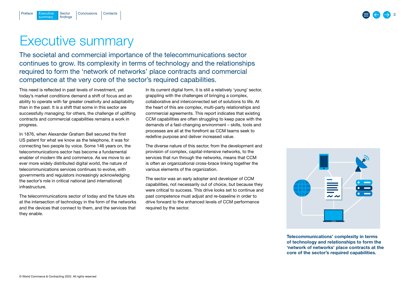## 3

## <span id="page-2-0"></span>Executive summary

The societal and commercial importance of the telecommunications sector continues to grow. Its complexity in terms of technology and the relationships required to form the 'network of networks' place contracts and commercial competence at the very core of the sector's required capabilities.

This need is reflected in past levels of investment, yet today's market conditions demand a shift of focus and an ability to operate with far greater creativity and adaptability than in the past. It is a shift that some in this sector are successfully managing; for others, the challenge of uplifting contracts and commercial capabilities remains a work in progress.

In 1876, when Alexander Graham Bell secured the first US patent for what we know as the telephone, it was for connecting two people by voice. Some 146 years on, the telecommunications sector has become a fundamental enabler of modern life and commerce. As we move to an ever more widely distributed digital world, the nature of telecommunications services continues to evolve, with governments and regulators increasingly acknowledging the sector's role in critical national (and international) infrastructure.

The telecommunications sector of today and the future sits at the intersection of technology in the form of the networks and the devices that connect to them, and the services that they enable.

In its current digital form, it is still a relatively 'voung' sector, grappling with the challenges of bringing a complex, collaborative and interconnected set of solutions to life. At the heart of this are complex, multi-party relationships and commercial agreements. This report indicates that existing CCM capabilities are often struggling to keep pace with the demands of a fast-changing environment – skills, tools and processes are all at the forefront as CCM teams seek to redefine purpose and deliver increased value.

The diverse nature of this sector, from the development and provision of complex, capital-intensive networks, to the services that run through the networks, means that CCM is often an organizational cross-brace linking together the various elements of the organization.

The sector was an early adopter and developer of CCM capabilities, not necessarily out of choice, but because they were critical to success. This drive looks set to continue and past competence must adjust and re-baseline in order to drive forward to the enhanced levels of CCM performance required by the sector.



Telecommunications' complexity in terms of technology and relationships to form the 'network of networks' place contracts at the core of the sector's required capabilities.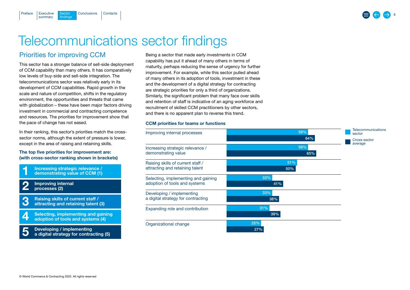## Telecommunications sector findings

## Priorities for improving CCM

**Sector** findings

summary

<span id="page-3-0"></span>[Preface](#page-1-0)

This sector has a stronger balance of sell-side deployment of CCM capability than many others. It has comparatively low levels of buy-side and sell-side integration. The telecommunications sector was relatively early in its development of CCM capabilities. Rapid growth in the scale and nature of competition, shifts in the regulatory environment, the opportunities and threats that came with globalization – these have been major factors driving investment in commercial and contracting competence and resources. The priorities for improvement show that the pace of change has not eased.

[Executive](#page-2-0) Sector [Conclusions](#page-17-0) [Contacts](#page-18-0)

In their ranking, this sector's priorities match the crosssector norms, although the extent of pressure is lower, except in the area of raising and retaining skills.

#### The top five priorities for improvement are: (with cross-sector ranking shown in brackets)

Increasing strategic relevance / demonstrating value of CCM (1) Improving internal processes (2) Raising skills of current staff / attracting and retaining talent (3) 1  $\Omega$ 3

Selecting, implementing and gaining adoption of tools and systems (4) 4

Developing / implementing a digital strategy for contracting (5) 5

Being a sector that made early investments in CCM capability has put it ahead of many others in terms of maturity, perhaps reducing the sense of urgency for further improvement. For example, while this sector pulled ahead of many others in its adoption of tools, investment in these and the development of a digital strategy for contracting are strategic priorities for only a third of organizations. Similarly, the significant problem that many face over skills and retention of staff is indicative of an aging workforce and recruitment of skilled CCM practitioners by other sectors, and there is no apparent plan to reverse this trend.

#### CCM priorities for teams or functions

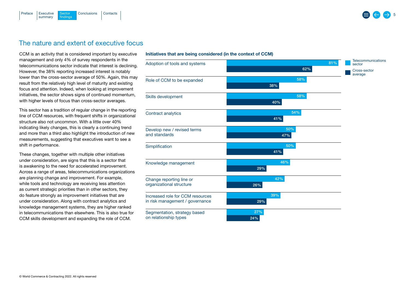<span id="page-4-0"></span>

## The nature and extent of executive focus

CCM is an activity that is considered important by executive management and only 4% of survey respondents in the telecommunications sector indicate that interest is declining. However, the 38% reporting increased interest is notably lower than the cross-sector average of 50%. Again, this may result from the relatively high level of maturity and existing focus and attention. Indeed, when looking at improvement initiatives, the sector shows signs of continued momentum, with higher levels of focus than cross-sector averages.

This sector has a tradition of regular change in the reporting line of CCM resources, with frequent shifts in organizational structure also not uncommon. With a little over 40% indicating likely changes, this is clearly a continuing trend and more than a third also highlight the introduction of new measurements, suggesting that executives want to see a shift in performance.

These changes, together with multiple other initiatives under consideration, are signs that this is a sector that is awakening to the need for accelerated improvement. Across a range of areas, telecommunications organizations are planning change and improvement. For example, while tools and technology are receiving less attention as current strategic priorities than in other sectors, they do feature strongly as improvement initiatives that are under consideration. Along with contract analytics and knowledge management systems, they are higher ranked in telecommunications than elsewhere. This is also true for CCM skills development and expanding the role of CCM.

#### Initiatives that are being considered (in the context of CCM)

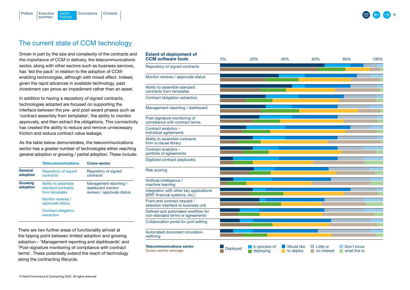<span id="page-5-0"></span>

## The current state of CCM technology

Driven in part by the size and complexity of the contracts and the importance of CCM in delivery, the telecommunications sector, along with other sectors such as business services, has 'led the pack' in relation to the adoption of CCMenabling technologies, although with mixed effect. Indeed, given the rapid advances in available technology, past investment can prove an impediment rather than an asset.

In addition to having a repository of signed contracts, technologies adopted are focused on supporting the interface between the pre- and post-award phases such as 'contract assembly from templates', the ability to monitor approvals, and then extract the obligations. This connectivity has created the ability to reduce and remove unnecessary friction and reduce contract value leakage.

As the table below demonstrates, the telecommunications sector has a greater number of technologies either reaching general adoption or growing / partial adoption. These include:

|                     | <b>Telecommunications</b>                                   | <b>Cross-sector</b>                                                       |
|---------------------|-------------------------------------------------------------|---------------------------------------------------------------------------|
| General<br>adoption | Repository of signed<br>contracts                           | Repository of signed<br>contracts                                         |
| Growing<br>adoption | Ability to assemble<br>standard contracts<br>from templates | Management reporting /<br>dashboard monitor<br>reviews / approvals status |
|                     | Monitor reviews /<br>approvals status                       |                                                                           |
|                     | Contract obligation<br>extraction                           |                                                                           |

There are two further areas of functionality almost at the tipping point between limited adoption and growing adoption – 'Management reporting and dashboards' and 'Post-signature monitoring of compliance with contract terms'. These potentially extend the reach of technology along the contracting lifecycle.

| <b>Extent of deployment of</b><br><b>CCM</b> software tools               | 0%       | 20%                        | 40%                            | 60%                      | 80%                        | 100% |
|---------------------------------------------------------------------------|----------|----------------------------|--------------------------------|--------------------------|----------------------------|------|
| Repository of signed contracts                                            |          |                            |                                |                          |                            |      |
| Monitor reviews / approvals status                                        |          |                            |                                |                          |                            |      |
| Ability to assemble standard<br>contracts from templates                  |          |                            |                                |                          |                            |      |
| Contract obligation extraction                                            |          |                            |                                |                          |                            |      |
| Management reporting / dashboard                                          |          |                            |                                |                          |                            |      |
| Post-signature monitoring of<br>compliance with contract terms            |          |                            |                                |                          |                            |      |
| Contract analytics -<br>individual agreements                             |          |                            |                                |                          |                            |      |
| Ability to assemble contracts<br>from a clause library                    |          |                            |                                |                          |                            |      |
| Contract analytics -<br>portfolio of agreements                           |          |                            |                                |                          |                            |      |
| Digitized contract playbooks                                              |          |                            |                                |                          |                            |      |
| <b>Risk scoring</b>                                                       |          |                            |                                |                          |                            |      |
| Artificial intelligence /<br>machine learning                             |          |                            |                                |                          |                            |      |
| Integration with other key applications<br>(ERP, financial systems, etc.) |          |                            |                                |                          |                            |      |
| Front-end contract request /<br>selection interface to business unit      |          |                            |                                |                          |                            |      |
| Defined and automated workflow for<br>non-standard terms or agreements    |          |                            |                                |                          |                            |      |
| Collaboration portal for joint editing                                    |          |                            |                                |                          |                            |      |
| Automated document circulation,<br>redlining                              |          |                            |                                |                          |                            |      |
| <b>Telecommunications sector</b><br><b>Cross-sector average</b>           | Deployed | In process of<br>deploying | <b>Would like</b><br>to deploy | Little or<br>no interest | Don't know<br>what this is |      |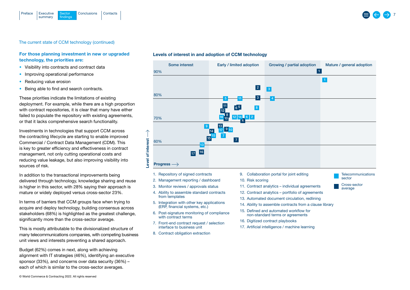

#### For those planning investment in new or upgraded technology, the priorities are:

- Visibility into contracts and contract data
- Improving operational performance
- Reducing value erosion
- Being able to find and search contracts.

These priorities indicate the limitations of existing deployment. For example, while there are a high proportion with contract repositories, it is clear that many have either failed to populate the repository with existing agreements, or that it lacks comprehensive search functionality.

Investments in technologies that support CCM across the contracting lifecycle are starting to enable improved Commercial / Contract Data Management (CDM). This is key to greater efficiency and effectiveness in contract management, not only cutting operational costs and reducing value leakage, but also improving visibility into sources of risk.

In addition to the transactional improvements being delivered through technology, knowledge sharing and reuse is higher in this sector, with 28% saying their approach is mature or widely deployed versus cross-sector 23%.

In terms of barriers that CCM groups face when trying to acquire and deploy technology, building consensus across stakeholders (68%) is highlighted as the greatest challenge, significantly more than the cross-sector average.

This is mostly attributable to the divisionalized structure of many telecommunications companies, with competing business unit views and interests preventing a shared approach.

Budget (62%) comes in next, along with achieving alignment with IT strategies (46%), identifying an executive sponsor (33%), and concerns over data security (36%) – each of which is similar to the cross-sector averages.

#### Levels of interest in and adoption of CCM technology

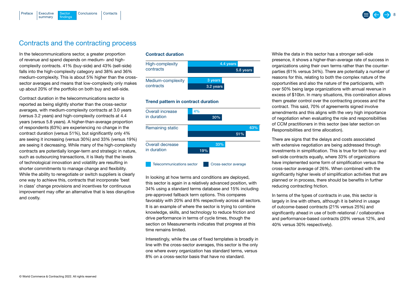<span id="page-7-0"></span>

### Contracts and the contracting process

In the telecommunications sector, a greater proportion of revenue and spend depends on medium- and highcomplexity contracts. 41% (buy-side) and 43% (sell-side) falls into the high-complexity category and 38% and 36% medium-complexity. This is about 5% higher than the crosssector averages and means that low-complexity only makes up about 20% of the portfolio on both buy and sell-side.

Contract duration in the telecommunications sector is reported as being slightly shorter than the cross-sector averages, with medium-complexity contracts at 3.0 years (versus 3.2 years) and high-complexity contracts at 4.4 years (versus 5.8 years). A higher-than-average proportion of respondents (63%) are experiencing no change in the contract duration (versus 51%), but significantly only 4% are seeing it increasing (versus 30%) and 33% (versus 19%) are seeing it decreasing. While many of the high-complexity contracts are potentially longer-term and strategic in nature, such as outsourcing transactions, it is likely that the levels of technological innovation and volatility are resulting in shorter commitments to manage change and flexibility. While the ability to renegotiate or switch suppliers is clearly one way to achieve this, contracts that incorporate 'best in class' change provisions and incentives for continuous improvement may offer an alternative that is less disruptive and costly.

#### Contract duration



#### Trend pattern in contract duration



In looking at how terms and conditions are deployed, this sector is again in a relatively advanced position, with 34% using a standard terms database and 15% including pre-approved fallback term options. This compares favorably with 20% and 8% respectively across all sectors. It is an example of where the sector is trying to combine knowledge, skills, and technology to reduce friction and drive performance in terms of cycle times, though the section on Measurements indicates that progress at this time remains limited.

Interestingly, while the use of fixed templates is broadly in line with the cross-sector averages, this sector is the only one where every organization has standard terms, versus 8% on a cross-sector basis that have no standard.

While the data in this sector has a stronger sell-side presence, it shows a higher-than-average rate of success in organizations using their own terms rather than the counterparties (61% versus 34%). There are potentially a number of reasons for this, relating to both the complex nature of the opportunities and also the nature of the participants, with over 50% being large organizations with annual revenue in excess of \$10bn. In many situations, this combination allows them greater control over the contracting process and the contract. This said, 70% of agreements signed involve amendments and this aligns with the very high importance of negotiation when evaluating the role and responsibilities of CCM practitioners in this sector [\(see later section on](#page-10-0)  [Responsibilities and time allocation](#page-10-0)).

There are signs that the delays and costs associated with extensive negotiation are being addressed through investments in simplification. This is true for both buy- and sell-side contracts equally, where 33% of organizations have implemented some form of simplification versus the cross-sector average of 26%. When combined with the significantly higher levels of simplification activities that are planned or in process, there should be benefits in further reducing contracting friction.

In terms of the types of contracts in use, this sector is largely in line with others, although it is behind in usage of outcome-based contracts (21% versus 25%) and significantly ahead in use of both relational / collaborative and performance-based contracts (20% versus 12%, and 40% versus 30% respectively).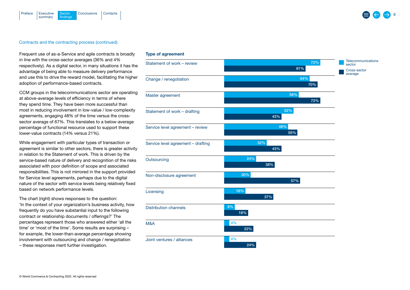

#### Contracts and the contracting process (continued)

Frequent use of as-a-Service and agile contracts is broadly in line with the cross-sector averages (36% and 4% respectively). As a digital sector, in many situations it has the advantage of being able to measure delivery performance and use this to drive the reward model, facilitating the higher adoption of performance-based contracts.

CCM groups in the telecommunications sector are operating at above-average levels of efficiency in terms of where they spend time. They have been more successful than most in reducing involvement in low-value / low-complexity agreements, engaging 48% of the time versus the crosssector average of 67%. This translates to a below-average percentage of functional resource used to support these lower-value contracts (14% versus 21%).

While engagement with particular types of transaction or agreement is similar to other sectors, there is greater activity in relation to the Statement of work. This is driven by the service-based nature of delivery and recognition of the risks associated with poor definition of scope and associated responsibilities. This is not mirrored in the support provided for Service level agreements, perhaps due to the digital nature of the sector with service levels being relatively fixed based on network performance levels.

The chart (right) shows responses to the question: 'In the context of your organization's business activity, how frequently do you have substantial input to the following contract or relationship documents / offerings?' The percentages represent those who answered either 'all the time' or 'most of the time'. Some results are surprising – for example, the lower-than-average percentage showing involvement with outsourcing and change / renegotiation – these responses merit further investigation.

#### Type of agreement

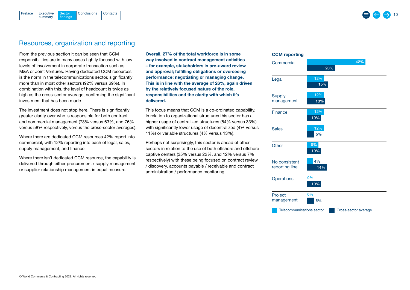### Resources, organization and reporting

[Executive](#page-2-0) Sector [Conclusions](#page-17-0) [Contacts](#page-18-0)

**Sector** findings

summary

<span id="page-9-0"></span>[Preface](#page-1-0)

From the previous section it can be seen that CCM responsibilities are in many cases tightly focused with low levels of involvement in corporate transaction such as M&A or Joint Ventures. Having dedicated CCM resources is the norm in the telecommunications sector, significantly more than in most other sectors (92% versus 69%). In combination with this, the level of headcount is twice as high as the cross-sector average, confirming the significant investment that has been made.

The investment does not stop here. There is significantly greater clarity over who is responsible for both contract and commercial management (73% versus 63%, and 76% versus 58% respectively, versus the cross-sector averages).

Where there are dedicated CCM resources 42% report into commercial, with 12% reporting into each of legal, sales, supply management, and finance.

Where there isn't dedicated CCM resource, the capability is delivered through either procurement / supply management or supplier relationship management in equal measure.

Overall, 27% of the total workforce is in some way involved in contract management activities – for example, stakeholders in pre-award review and approval; fulfilling obligations or overseeing performance; negotiating or managing change. This is in line with the average of 26%, again driven by the relatively focused nature of the role, responsibilities and the clarity with which it's delivered.

This focus means that CCM is a co-ordinated capability. In relation to organizational structures this sector has a higher usage of centralized structures (54% versus 33%) with significantly lower usage of decentralized (4% versus 11%) or variable structures (4% versus 13%).

Perhaps not surprisingly, this sector is ahead of other sectors in relation to the use of both offshore and offshore captive centers (35% versus 22%, and 12% versus 7% respectively) with these being focused on contract review / discovery, accounts payable / receivable and contract administration / performance monitoring.

#### CCM reporting

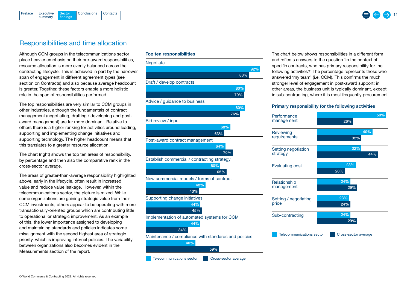<span id="page-10-0"></span>

## Responsibilities and time allocation

Although CCM groups in the telecommunications sector place heavier emphasis on their pre-award responsibilities, resource allocation is more evenly balanced across the contracting lifecycle. This is achieved in part by the narrower span of engagement in different agreement types (see section on Contracts) and also because average headcount is greater. Together, these factors enable a more holistic role in the span of responsibilities performed.

The top responsibilities are very similar to CCM groups in other industries, although the fundamentals of contract management (negotiating, drafting / developing and postaward management) are far more dominant. Relative to others there is a higher ranking for activities around leading, supporting and implementing change initiatives and supporting technology. The higher headcount means that this translates to a greater resource allocation.

The chart (right) shows the top ten areas of responsibility, by percentage and then also the comparative rank in the cross-sector average.

The areas of greater-than-average responsibility highlighted above, early in the lifecycle, often result in increased value and reduce value leakage. However, within the telecommunications sector, the picture is mixed. While some organizations are gaining strategic value from their CCM investments, others appear to be operating with more transactionally-oriented groups which are contributing little to operational or strategic improvement. As an example of this, the lower importance assigned to developing and maintaining standards and policies indicates some misalignment with the second highest area of strategic priority, which is improving internal policies. The variability between organizations also becomes evident in the Measurements section of the report.

#### Top ten responsibilities



The chart below shows responsibilities in a different form and reflects answers to the question 'In the context of specific contracts, who has primary responsibility for the following activities?' The percentage represents those who answered 'my team' (i.e. CCM). This confirms the much stronger level of engagement in post-award support; in other areas, the business unit is typically dominant, except in sub-contracting, where it is most frequently procurement.

#### Primary responsibility for the following activities

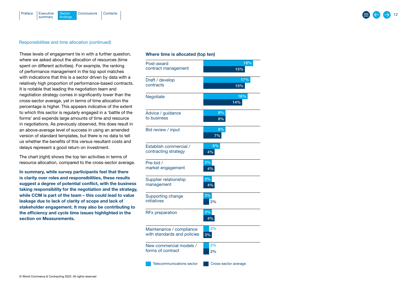#### Responsibilities and time allocation (continued)

These levels of engagement tie in with a further question, where we asked about the allocation of resources (time spent on different activities). For example, the ranking of performance management in the top spot matches with indications that this is a sector driven by data with a relatively high proportion of performance-based contracts. It is notable that leading the negotiation team and negotiation strategy comes in significantly lower than the cross-sector average, yet in terms of time allocation the percentage is higher. This appears indicative of the extent to which this sector is regularly engaged in a 'battle of the forms' and expends large amounts of time and resource in negotiations. As previously observed, this does result in an above-average level of success in using an amended version of standard templates, but there is no data to tell us whether the benefits of this versus resultant costs and delays represent a good return on investment.

The chart (right) shows the top ten activities in terms of resource allocation, compared to the cross-sector average.

In summary, while survey participants feel that there is clarity over roles and responsibilities, these results suggest a degree of potential conflict, with the business taking responsibility for the negotiation and the strategy, while CCM is part of the team – this could lead to value leakage due to lack of clarity of scope and lack of stakeholder engagement. It may also be contributing to the efficiency and cycle time issues highlighted in the section on Measurements.

#### Whe re time is allocated (top ten)

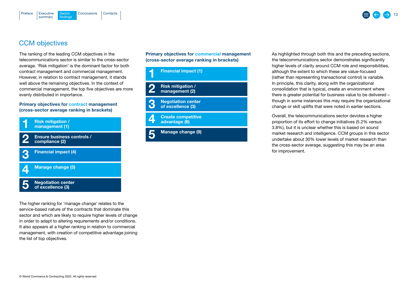<span id="page-12-0"></span>

## CCM objectives

The ranking of the leading CCM objectives in the telecommunications sector is similar to the cross-sector average. 'Risk mitigation' is the dominant factor for both contract management and commercial management. However, in relation to contract management, it stands well above the remaining objectives. In the context of commercial management, the top five objectives are more evenly distributed in importance.

#### Primary objectives for contract management (cross-sector average ranking in brackets)



The higher ranking for 'manage change' relates to the service-based nature of the contracts that dominate this sector and which are likely to require higher levels of change in order to adapt to altering requirements and/or conditions. It also appears at a higher ranking in relation to commercial management, with creation of competitive advantage joining the list of top objectives.

Primary objectives for commercial management (cross-sector average ranking in brackets)



As highlighted through both this and the preceding sections, the telecommunications sector demonstrates significantly higher levels of clarity around CCM role and responsibilities, although the extent to which these are value-focused (rather than representing transactional control) is variable. In principle, this clarity, along with the organizational consolidation that is typical, create an environment where there is greater potential for business value to be delivered – though in some instances this may require the organizational change or skill uplifts that were noted in earlier sections.

Overall, the telecommunications sector devotes a higher proportion of its effort to change initiatives (5.2% versus 3.8%), but it is unclear whether this is based on sound market research and intelligence. CCM groups in this sector undertake about 30% lower levels of market research than the cross-sector average, suggesting this may be an area for improvement.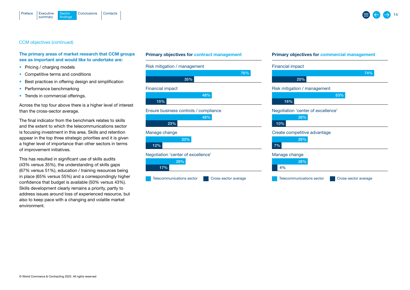



#### CCM objectives (continued)

#### The primary areas of market research that CCM groups see as important and would like to undertake are:

- Pricing / charging models
- Competitive terms and conditions
- Best practices in offering design and simplification
- Performance benchmarking
- Trends in commercial offerings.

Across the top four above there is a higher level of interest than the cross-sector average.

The final indicator from the benchmark relates to skills and the extent to which the telecommunications sector is focusing investment in this area. Skills and retention appear in the top three strategic priorities and it is given a higher level of importance than other sectors in terms of improvement initiatives.

This has resulted in significant use of skills audits (43% versus 35%), the understanding of skills gaps (67% versus 51%), education / training resources being in place (65% versus 55%) and a correspondingly higher confidence that budget is available (50% versus 43%). Skills development clearly remains a priority, partly to address issues around loss of experienced resource, but also to keep pace with a changing and volatile market environment.

#### Primary objectives for contract management

## 76% 35% 17% 12% 15% 23% Risk mitigation / management 29% Negotiation 'center of excellence' Manage change Financial impact Ensure business controls / compliance 33% 48% 48% Telecommunications sector **CR** Cross-sector ave

#### Primary objectives for commercial management

|       | <b>Financial impact</b>                                  |  |  |  |
|-------|----------------------------------------------------------|--|--|--|
| 76%   | 74%                                                      |  |  |  |
|       | 25%                                                      |  |  |  |
|       | Risk mitigation / management                             |  |  |  |
|       | 53%                                                      |  |  |  |
|       | 16%                                                      |  |  |  |
|       | Negotiation 'center of excellence'                       |  |  |  |
|       | 26%                                                      |  |  |  |
|       | 10%                                                      |  |  |  |
|       | Create competitive advantage                             |  |  |  |
|       | 26%                                                      |  |  |  |
|       | 7%                                                       |  |  |  |
|       | Manage change                                            |  |  |  |
|       | 26%                                                      |  |  |  |
|       | 4%                                                       |  |  |  |
| erage | <b>Telecommunications sector</b><br>Cross-sector average |  |  |  |
|       |                                                          |  |  |  |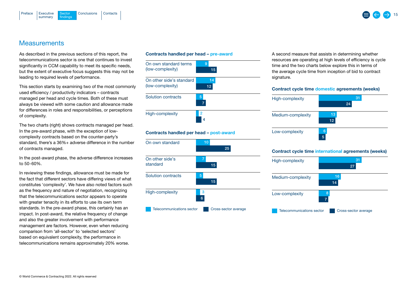<span id="page-14-0"></span>

### **Measurements**

As described in the previous sections of this report, the telecommunications sector is one that continues to invest significantly in CCM capability to meet its specific needs. but the extent of executive focus suggests this may not be leading to required levels of performance.

This section starts by examining two of the most commonly used efficiency / productivity indicators – contracts managed per head and cycle times. Both of these must always be viewed with some caution and allowance made for differences in roles and responsibilities, or perceptions of complexity.

The two charts (right) shows contracts managed per head. In the pre-award phase, with the exception of lowcomplexity contracts based on the counter-party's standard, there's a 36%+ adverse difference in the number of contracts managed.

In the post-award phase, the adverse difference increases to 50-60%.

In reviewing these findings, allowance must be made for the fact that different sectors have differing views of what constitutes 'complexity'. We have also noted factors such as the frequency and nature of negotiation, recognizing that the telecommunications sector appears to operate with greater tenacity in its efforts to use its own term standards. In the pre-award phase, this certainly has an impact. In post-award, the relative frequency of change and also the greater involvement with performance management are factors. However, even when reducing comparison from 'all-sector' to 'selected sectors' based on equivalent complexity, the performance in telecommunications remains approximately 20% worse.



A second measure that assists in determining whether resources are operating at high levels of efficiency is cycle time and the two charts below explore this in terms of the average cycle time from inception of bid to contract signature.

15

#### Contract cycle time domestic agreements (weeks)



#### Contract cycle time international agreements (weeks)

| High-complexity           | 31<br>27             |
|---------------------------|----------------------|
| Medium-complexity         | 16<br>14             |
| Low-complexity            | 8<br>7               |
| Telecommunications sector | Cross-sector average |

#### Contracts handled per head – pre-award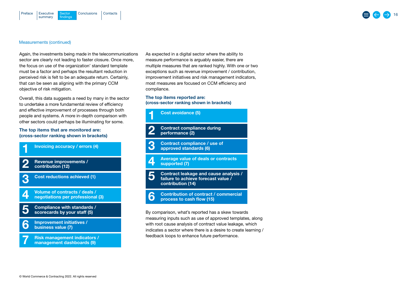#### Measurements (continued)

Again, the investments being made in the telecommunications sector are clearly not leading to faster closure. Once more, the focus on use of the organization' standard template must be a factor and perhaps the resultant reduction in perceived risk is felt to be an adequate return. Certainly, that can be seen as aligning with the primary CCM objective of risk mitigation.

Overall, this data suggests a need by many in the sector to undertake a more fundamental review of efficiency and effective improvement of processes through both people and systems. A more in-depth comparison with other sectors could perhaps be illuminating for some.

The top items that are monitored are: (cross-sector ranking shown in brackets)



As expected in a digital sector where the ability to measure performance is arguably easier, there are multiple measures that are ranked highly. With one or two exceptions such as revenue improvement / contribution, improvement initiatives and risk management indicators, most measures are focused on CCM efficiency and compliance.

The top items reported are: (cross-sector ranking shown in brackets)



with root cause analysis of contract value leakage, which indicates a sector where there is a desire to create learning / feedback loops to enhance future performance.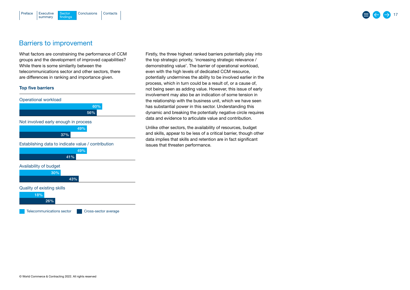#### <span id="page-16-0"></span>[Executive](#page-2-0) Sector [Conclusions](#page-17-0) [Contacts](#page-18-0) summary **Sector** findings [Preface](#page-1-0)

## Barriers to improvement

What factors are constraining the performance of CCM groups and the development of improved capabilities? While there is some similarity between the telecommunications sector and other sectors, there are differences in ranking and importance given.

#### Top five barriers



Firstly, the three highest ranked barriers potentially play into the top strategic priority, 'increasing strategic relevance / demonstrating value'. The barrier of operational workload, even with the high levels of dedicated CCM resource, potentially undermines the ability to be involved earlier in the process, which in turn could be a result of, or a cause of, not being seen as adding value. However, this issue of early involvement may also be an indication of some tension in the relationship with the business unit, which we have seen has substantial power in this sector. Understanding this dynamic and breaking the potentially negative circle requires data and evidence to articulate value and contribution.

Unlike other sectors, the availability of resources, budget and skills, appear to be less of a critical barrier, though other data implies that skills and retention are in fact significant issues that threaten performance.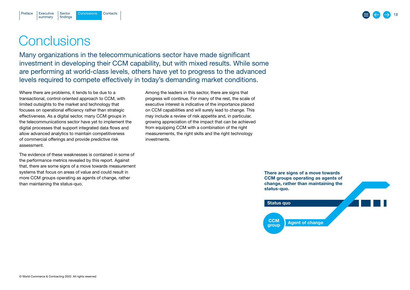## **Conclusions**

<span id="page-17-0"></span>[Preface](#page-1-0)

Many organizations in the telecommunications sector have made significant investment in developing their CCM capability, but with mixed results. While some are performing at world-class levels, others have yet to progress to the advanced levels required to compete effectively in today's demanding market conditions.

Where there are problems, it tends to be due to a transactional, control-oriented approach to CCM, with limited outsights to the market and technology that focuses on operational efficiency rather than strategic effectiveness. As a digital sector, many CCM groups in the telecommunications sector have yet to implement the digital processes that support integrated data flows and allow advanced analytics to maintain competitiveness of commercial offerings and provide predictive risk assessment.

The evidence of these weaknesses is contained in some of the performance metrics revealed by this report. Against that, there are some signs of a move towards measurement systems that focus on areas of value and could result in more CCM groups operating as agents of change, rather than maintaining the status-quo.

Among the leaders in this sector, there are signs that progress will continue. For many of the rest, the scale of executive interest is indicative of the importance placed on CCM capabilities and will surely lead to change. This may include a review of risk appetite and, in particular, growing appreciation of the impact that can be achieved from equipping CCM with a combination of the right measurements, the right skills and the right technology investments.